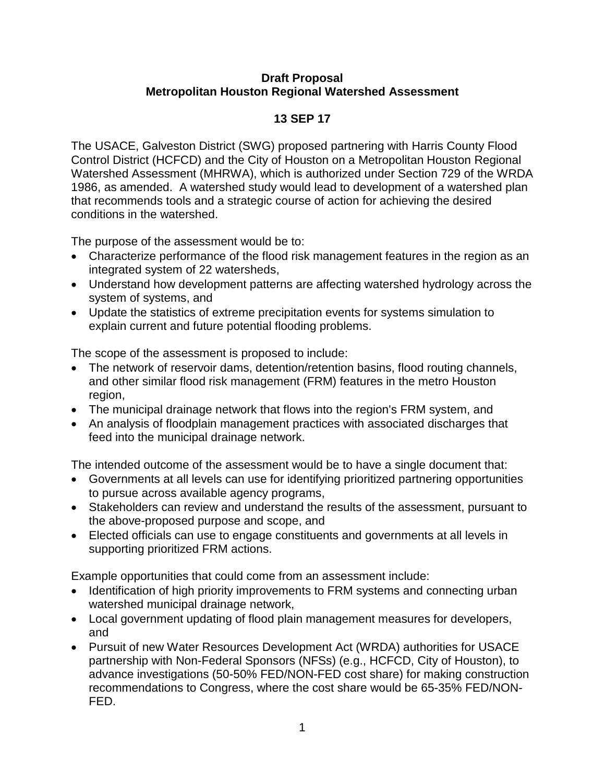## **Draft Proposal Metropolitan Houston Regional Watershed Assessment**

## **13 SEP 17**

The USACE, Galveston District (SWG) proposed partnering with Harris County Flood Control District (HCFCD) and the City of Houston on a Metropolitan Houston Regional Watershed Assessment (MHRWA), which is authorized under Section 729 of the WRDA 1986, as amended. A watershed study would lead to development of a watershed plan that recommends tools and a strategic course of action for achieving the desired conditions in the watershed.

The purpose of the assessment would be to:

- Characterize performance of the flood risk management features in the region as an integrated system of 22 watersheds,
- Understand how development patterns are affecting watershed hydrology across the system of systems, and
- Update the statistics of extreme precipitation events for systems simulation to explain current and future potential flooding problems.

The scope of the assessment is proposed to include:

- The network of reservoir dams, detention/retention basins, flood routing channels, and other similar flood risk management (FRM) features in the metro Houston region,
- The municipal drainage network that flows into the region's FRM system, and
- An analysis of floodplain management practices with associated discharges that feed into the municipal drainage network.

The intended outcome of the assessment would be to have a single document that:

- Governments at all levels can use for identifying prioritized partnering opportunities to pursue across available agency programs,
- Stakeholders can review and understand the results of the assessment, pursuant to the above-proposed purpose and scope, and
- Elected officials can use to engage constituents and governments at all levels in supporting prioritized FRM actions.

Example opportunities that could come from an assessment include:

- Identification of high priority improvements to FRM systems and connecting urban watershed municipal drainage network,
- Local government updating of flood plain management measures for developers, and
- Pursuit of new Water Resources Development Act (WRDA) authorities for USACE partnership with Non-Federal Sponsors (NFSs) (e.g., HCFCD, City of Houston), to advance investigations (50-50% FED/NON-FED cost share) for making construction recommendations to Congress, where the cost share would be 65-35% FED/NON-FED.